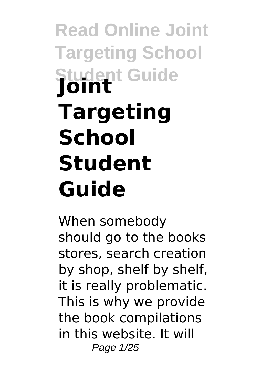# **Read Online Joint Targeting School Student Guide Joint Targeting School Student Guide**

When somebody should go to the books stores, search creation by shop, shelf by shelf, it is really problematic. This is why we provide the book compilations in this website. It will Page 1/25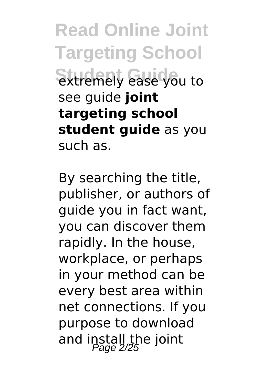**Read Online Joint Targeting School** Studently ease you to see guide **joint targeting school student guide** as you such as.

By searching the title, publisher, or authors of guide you in fact want, you can discover them rapidly. In the house, workplace, or perhaps in your method can be every best area within net connections. If you purpose to download and install the joint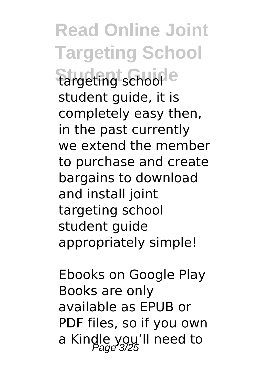**Read Online Joint Targeting School Stargeting schoole** student guide, it is completely easy then, in the past currently we extend the member to purchase and create bargains to download and install joint targeting school student guide appropriately simple!

Ebooks on Google Play Books are only available as EPUB or PDF files, so if you own a Kindle you'll need to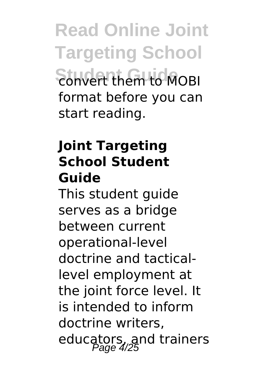**Read Online Joint Targeting School** Studenthem to MOBI format before you can start reading.

#### **Joint Targeting School Student Guide**

This student guide serves as a bridge between current operational-level doctrine and tacticallevel employment at the joint force level. It is intended to inform doctrine writers, educators, and trainers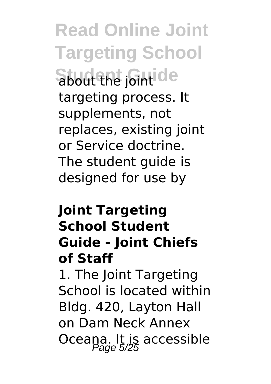**Read Online Joint Targeting School** Student <sub>Joint</sub>ide targeting process. It supplements, not replaces, existing joint or Service doctrine. The student guide is designed for use by

#### **Joint Targeting School Student Guide - Joint Chiefs of Staff**

1. The Joint Targeting School is located within Bldg. 420, Layton Hall on Dam Neck Annex Oceana. It is accessible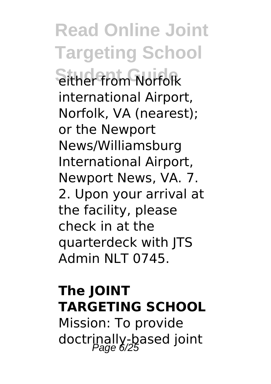**Read Online Joint Targeting School** Sither from Norfolk international Airport, Norfolk, VA (nearest); or the Newport News/Williamsburg International Airport, Newport News, VA. 7. 2. Upon your arrival at the facility, please check in at the quarterdeck with JTS Admin NLT 0745.

#### **The JOINT TARGETING SCHOOL**

Mission: To provide doctrinally-based joint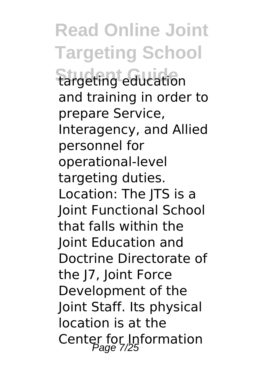**Read Online Joint Targeting School Stargeting education** and training in order to prepare Service, Interagency, and Allied personnel for operational-level targeting duties. Location: The JTS is a Joint Functional School that falls within the Joint Education and Doctrine Directorate of the J7, Joint Force Development of the Joint Staff. Its physical location is at the Center for Information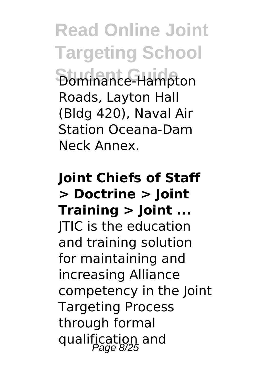**Read Online Joint Targeting School Student Guide** Dominance-Hampton Roads, Layton Hall (Bldg 420), Naval Air Station Oceana-Dam Neck Annex.

**Joint Chiefs of Staff > Doctrine > Joint Training > Joint ...** JTIC is the education and training solution for maintaining and increasing Alliance competency in the Joint Targeting Process through formal qualification and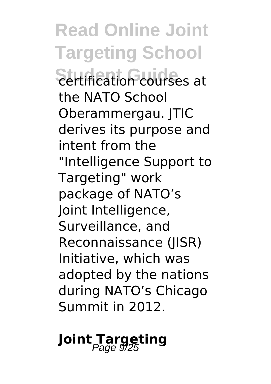**Read Online Joint Targeting School** Student Guide<sub>s</sub> at the NATO School Oberammergau. JTIC derives its purpose and intent from the "Intelligence Support to Targeting" work package of NATO's Joint Intelligence, Surveillance, and Reconnaissance (JISR) Initiative, which was adopted by the nations during NATO's Chicago Summit in 2012.

### **Joint Targeting**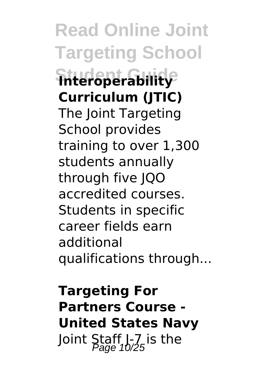**Read Online Joint Targeting School Student Guide Interoperability Curriculum (JTIC)** The Joint Targeting School provides training to over 1,300 students annually through five JQO accredited courses. Students in specific career fields earn additional qualifications through...

**Targeting For Partners Course - United States Navy** Joint Staff  $l-7$  is the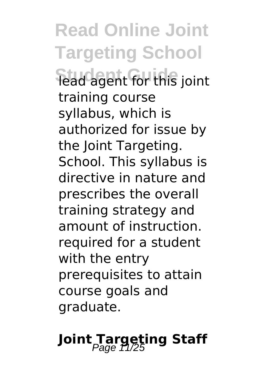**Read Online Joint Targeting School Student Guide** lead agent for this joint training course syllabus, which is authorized for issue by the Joint Targeting. School. This syllabus is directive in nature and prescribes the overall training strategy and amount of instruction. required for a student with the entry prerequisites to attain course goals and graduate.

## Joint Targeting Staff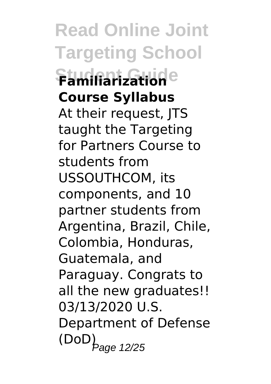**Read Online Joint Targeting School Student Guide Familiarization Course Syllabus** At their request, JTS taught the Targeting for Partners Course to students from USSOUTHCOM, its components, and 10 partner students from Argentina, Brazil, Chile, Colombia, Honduras, Guatemala, and Paraguay. Congrats to all the new graduates!! 03/13/2020 U.S. Department of Defense  $\left( \mathsf{DoD}\right) _{\mathsf{Page}}$  12/25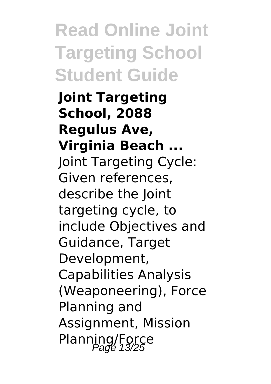**Read Online Joint Targeting School Student Guide**

**Joint Targeting School, 2088 Regulus Ave, Virginia Beach ...** Joint Targeting Cycle: Given references, describe the Joint targeting cycle, to include Objectives and Guidance, Target Development, Capabilities Analysis (Weaponeering), Force Planning and Assignment, Mission Planning/Force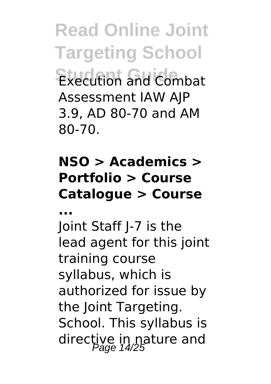**Read Online Joint Targeting School Student Guide** Execution and Combat Assessment IAW AJP 3.9, AD 80-70 and AM 80-70.

#### **NSO > Academics > Portfolio > Course Catalogue > Course**

**...**

Joint Staff J-7 is the lead agent for this joint training course syllabus, which is authorized for issue by the Joint Targeting. School. This syllabus is directive in nature and<br>Page 14/25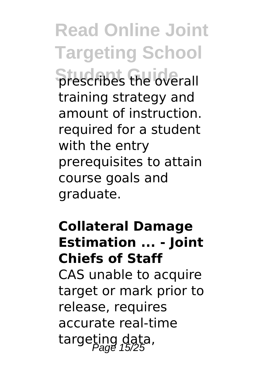**Read Online Joint Targeting School Strescribes the overall** training strategy and amount of instruction. required for a student with the entry prerequisites to attain course goals and graduate.

#### **Collateral Damage Estimation ... - Joint Chiefs of Staff**

CAS unable to acquire target or mark prior to release, requires accurate real-time targeting data,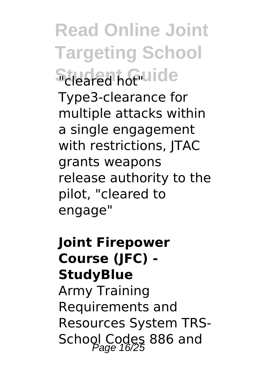**Read Online Joint Targeting School** Student Guide Type3-clearance for multiple attacks within a single engagement

with restrictions, ITAC grants weapons release authority to the pilot, "cleared to engage"

**Joint Firepower Course (JFC) - StudyBlue** Army Training Requirements and Resources System TRS-School Codes 886 and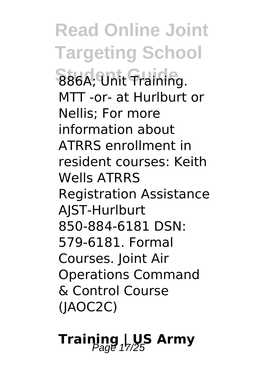**Read Online Joint Targeting School S86A; Unit Training.** MTT -or- at Hurlburt or Nellis; For more information about ATRRS enrollment in resident courses: Keith Wells ATRRS Registration Assistance AJST-Hurlburt 850-884-6181 DSN: 579-6181. Formal Courses. Joint Air Operations Command & Control Course (JAOC2C)

## **Training | US Army**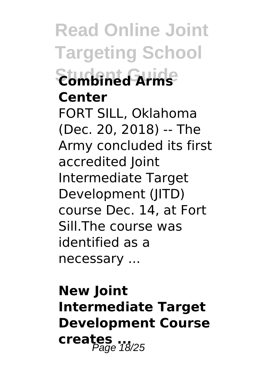**Read Online Joint Targeting School Student Guide Combined Arms Center** FORT SILL, Oklahoma (Dec. 20, 2018) -- The Army concluded its first accredited Joint Intermediate Target Development (JITD) course Dec. 14, at Fort Sill.The course was identified as a necessary ...

**New Joint Intermediate Target Development Course creates ...** Page 18/25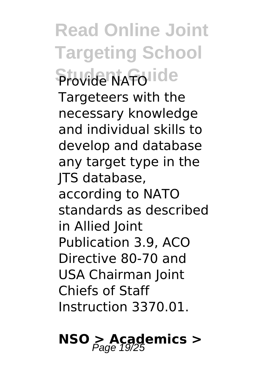**Read Online Joint Targeting School Student Guide** Targeteers with the necessary knowledge and individual skills to develop and database any target type in the JTS database, according to NATO standards as described in Allied Joint Publication 3.9, ACO Directive 80-70 and USA Chairman Joint Chiefs of Staff Instruction 3370.01.

## **NSO > Academics >** Page 19/25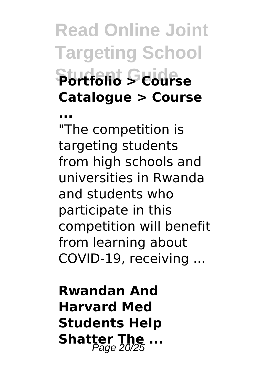**Read Online Joint Targeting School Student Guide Portfolio > Course Catalogue > Course**

**...** "The competition is targeting students from high schools and universities in Rwanda and students who participate in this competition will benefit from learning about COVID-19, receiving ...

**Rwandan And Harvard Med Students Help Shatter The ...**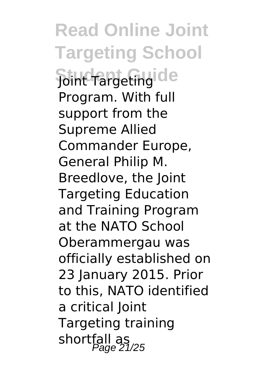**Read Online Joint Targeting School Soint Targeting de** Program. With full support from the Supreme Allied Commander Europe, General Philip M. Breedlove, the Joint Targeting Education and Training Program at the NATO School Oberammergau was officially established on 23 January 2015. Prior to this, NATO identified a critical Joint Targeting training shortfall as<br>Page 21/25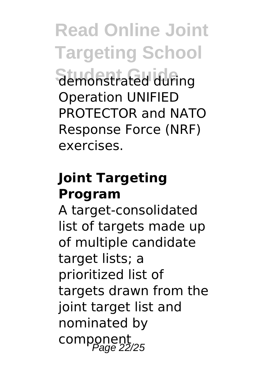**Read Online Joint Targeting School Student Guide** demonstrated during Operation UNIFIED PROTECTOR and NATO Response Force (NRF) exercises.

#### **Joint Targeting Program**

A target-consolidated list of targets made up of multiple candidate target lists; a prioritized list of targets drawn from the joint target list and nominated by component<br>Page 22/25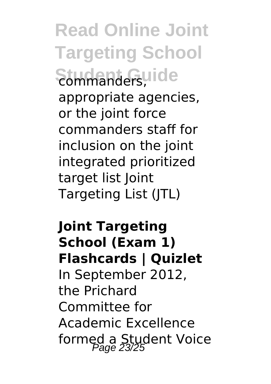**Read Online Joint Targeting School** Student Guide appropriate agencies, or the joint force commanders staff for inclusion on the joint integrated prioritized target list Joint Targeting List (JTL)

**Joint Targeting School (Exam 1) Flashcards | Quizlet** In September 2012, the Prichard Committee for Academic Excellence formed a Student Voice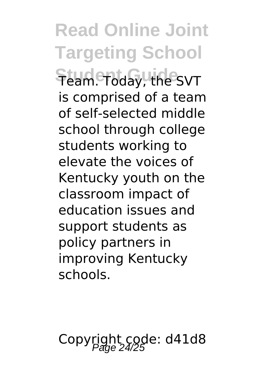**Read Online Joint Targeting School Student Guide** Team. Today, the SVT is comprised of a team of self-selected middle school through college students working to elevate the voices of Kentucky youth on the classroom impact of education issues and support students as policy partners in improving Kentucky schools.

Copyright code: d41d8